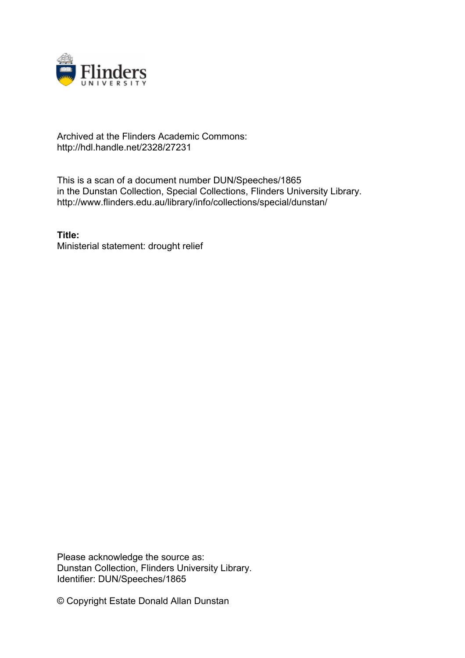

## Archived at the Flinders Academic Commons: http://hdl.handle.net/2328/27231

This is a scan of a document number DUN/Speeches/1865 in the Dunstan Collection, Special Collections, Flinders University Library. http://www.flinders.edu.au/library/info/collections/special/dunstan/

**Title:** Ministerial statement: drought relief

Please acknowledge the source as: Dunstan Collection, Flinders University Library. Identifier: DUN/Speeches/1865

© Copyright Estate Donald Allan Dunstan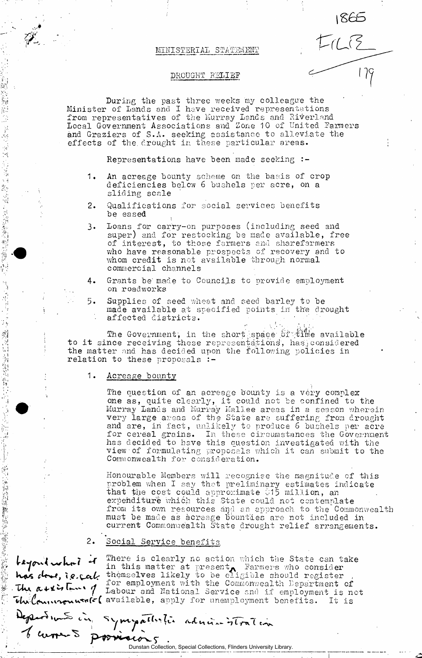### MINISTERIAL STATEMENT

 $1865$ 

 $FICB$ 

### DROUGHT RELIEF

During the past three weeks 'my colleague the Minister of Lands and I have received representations from representatives of the Murray Lands and Riverland Local Government Associations and Zone 10 of United Farmers and Graziers of S.A. seeking assistance to alleviate the effects of the drought in these particular areas.

Representations have been made seeking :-

- 1. An acreage bounty scheme on the basis of crop deficiencies below 6 bushels per acre, on a sliding scale
- 2. Qualifications for social services benefits be eased
- 3. Loans for carry-on purposes (including seed and super) and for restocking be made available, free of interest, to those farmers and sharefarmers who have reasonable prospects of recovery and to whom credit is not available through normal commercial channels
- 4. Grants be'made to Councils to provide employment on roadworks
- 5. Supplies of seed wheat and seed barley to be made available at specified points in the drought affected districts.

The Government, in the short space of time available , has considered the matter and has decided upon the following policies in relation to these proposals  $:-$ 

### relation to these proposals :- 1. Acreage bounty

医间隙的 的复数

经合同计算经营金融 整整的现在

1. 1. 经通常证券的需求

**医安全性肺炎病毒性病病毒病** 

The question of an acreage bounty is a very complex one as, quite clearly, it could not be confined to the Murray Lands and Murray Kallee areas in a season wherein very large areas of the State are suffering from drought and are, in fact, unlikely to produce 6 bushels per acre for cereal grains. In these circumstances the Government has decided to have this question investigated with the view of formulating proposals which it can submit to the Commonwealth for consideration.

Honourable Members will recognise the magnitude of this problem when I say that preliminary estimates indicate that the cost could approximate 015 million, an expenditure whi6h this State could not contemplate from its own resources and an approach to the Commonwealth must be made as acreage bounties are not included in current Commonwealth State drought relief arrangements.

## 2. Social Service benefits

 $f_{\text{start}}$ ,  $f_{\text{in}}$   $f$   $f$  <sup>There</sup> is clearly no action which the State can take  $1^n$  in this matter at present  $\lambda$  Parmers who consider has  $t$  to  $t$ , i.e.,  $\tau$  themselves likely to be eligible should register ,  $\tau$ ,  $\tau$  r  $\sim$   $\tau$  for employment with the Commonwealth Department of  $\sim$   $\mu$   $\sim$   $\sim$   $\sim$   $\mu$  Labour and National Service and if employment is not  $\overline{\textbf{u}}$   $\mu$   $\alpha$   $\mu$   $\alpha$   $\alpha$   $\alpha$   $\beta$   $\alpha$  available, apply for unemployment benefits. It is

Departement in Symopallistic administration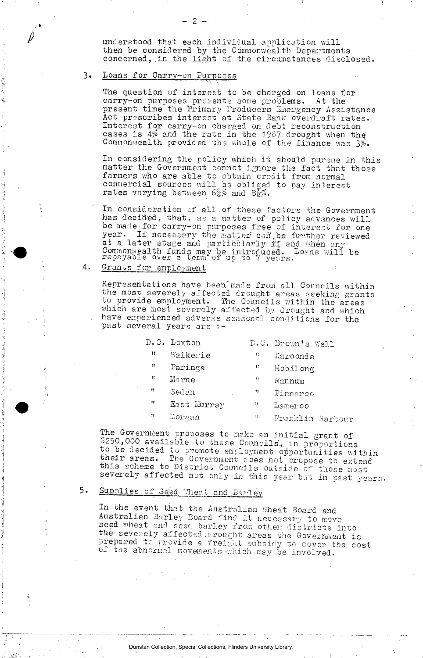understood that each individual application will then be considered by the Commonwealth Departments concerned, in the light of the circumstances disclosed.

#### $3\bullet$ Loans for Carry-on Purposes

1. 小子 (子) 2012年

ý

2017年4月1日

 $\frac{1}{2} \sum_{i=1}^{n} \frac{1}{2} \sum_{j=1}^{n} \frac{1}{2} \sum_{j=1}^{n} \frac{1}{2} \sum_{j=1}^{n} \frac{1}{2} \sum_{j=1}^{n} \frac{1}{2} \sum_{j=1}^{n} \frac{1}{2} \sum_{j=1}^{n} \frac{1}{2} \sum_{j=1}^{n} \frac{1}{2} \sum_{j=1}^{n} \frac{1}{2} \sum_{j=1}^{n} \frac{1}{2} \sum_{j=1}^{n} \frac{1}{2} \sum_{j=1}^{n} \frac{1}{2} \sum_{j=1}^{n$ 

en<br>S

ÿ

ALLAND TO

The question of interest to be charged on loans for carry-on purposes presents some problems. At the present time the Primary Producers Emergency Assistance Act prescribes interest at State Bank overdraft rates. Interest for carry-on charged on debt reconstruction cases is 4% and the rate in the 1967 drought when the Commonwealth provided the whole of the finance was 3%.

In considering the policy which it should pursue in this matter the Government cannot ignore the fact that those farmers who are able to obtain credit from normal commercial sources will be obliged to pay interest rates varying between  $6\frac{2}{3}$  and  $8\frac{1}{2}$ .

In consideration of all of these factors the Government has decided, that, as a matter of policy advances will be made for carry-on purposes free of interest for one year. If necessary the matter can be further reviewed at a later stage and particularly if and when any Commonwealth funds may be introduced. Loens will be regayable over a term of up to 7 years.

#### 4. Grants for employment

Representations have been made from all Councils within<br>the most severely affected drought areas seeking grants<br>to provide employment. The Councils within the areas which are most severely affected by drought and which have experienced adverse seasonal conditions for the past several years are :-

|    | D.C. Loxton |    | D.C. Brown's Well |
|----|-------------|----|-------------------|
| Ħ  | Waikerie    | Ħ  | Karoonda          |
| 11 | Paringa     | 11 | Mobilong          |
| Ħ  | Marne       | *1 | Mannum            |
| Ħ  | Sedan       | n  | Pinnaroo          |
| Ħ  | East Murray | Ħ  | Lemeroo           |
| 11 | Morgan      | Ħ  | Franklin Harbour  |

The Government proposes to make an initial grant of \$250,000 available to these Councils, in proportions to be decided to promote employment opportunities within their areas. The Government does not propose to extend<br>this scheme to District Councils outside of those most severely affected not only in this year but in past years.

#### $5.$ Supplies of Seed Wheat and Barley

In the event that the Australian Wheat Board and Australian Barley Board find it necessary to move seed wheat and seed barley from other districts into the severely affected drought areas the Government is prepared to provide a freight subsidy to cover the cost of the abnormal movements which may be involved.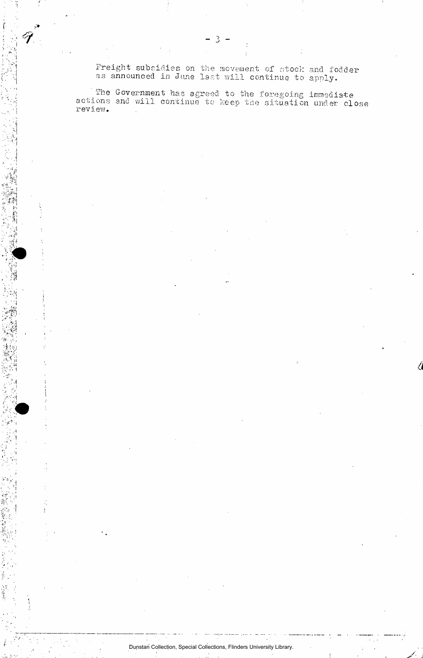Freight subsidies on the movement of stock and fodder as announced in June last will continue to apply.

The Government has agreed to the foregoing immediate actions and will continue to keep the situation under close review.

Dunstan Collection, Special Collections, Flinders University Library.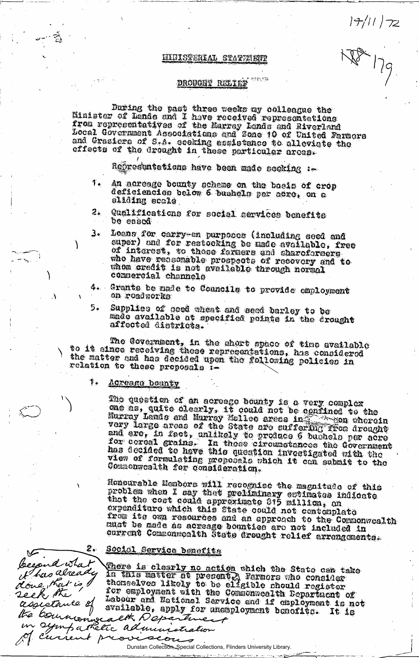$|\hat{\tau} / \tau|$   $|z|$ 

## EIUISTERIAL STATELETT

### DROUGHT RELIEF

During the past three seeks my colleague the Minister of Lande and I have received representations from representatives of the Marray Lands and Riverland<br>Local Government Associations and Zone 10 of United Farmers and Grasiers of S.A. cooking assistance to alleviate the effects of the drought in these particular areas.

Representetions have been made seeking :-

- $T_{\bullet}$ An acroage bounty scheme on the bosis of crop deficiencies below 6 bushels per acre, on a sliding scale
- Qualifications for social services benefits 2. be eased
- $3.1$ Loans for carry-on purposes (including seed and super) and for restocking be made available, free of interest, to those farmers and sharofereers who have redsonable prospects of recovery and to whom credit is not aveilable through normal commerciel channels
- 4. Grants be made to Councils to provide employment on roadworks
- Supplies of good wheat and seed barley to be 5. made available at specified points in the erought affected districts.

The Government, in the chort space of time available<br>to it since receiving these representations, has considered the matter and has decided upon the following policies in relation to these proposals i-

#### $\ddagger$ . <u>Acreage bounty</u>

The question of an acrosge bounty is a very complex one as, quite clearly, it could not be confined to the Murray Lands and Murray Mallee areas in the pon chercin very large areas of the State are suffering rroa drought and ere, in fact, unlikely to produce 6 bushels per acre<br>for coreal grains. In those circumstances the Government<br>has decided to have this question investigated with the view of formulating proposals which it can submit to the Commonwoolth for consideration.

Honourable Members will recognise the magnitude of this problem when I cay that proliminary eptimates indicate expenditure which this state could not contemplate from its own resources and an approach to the Commonwealth must be made as acreage bounties are not included in current Commonwoolth State drought relief arrengements.

### $2<sub>o</sub>$ Social Service Denefits

becound what

done, that is I ek the

assietance of

the com

it has already

There is clearly no action which the State can take In this matter at present, Farmors who consider the chouse likely to be eligible should register for employment with the Commonwealth Department of Labour and National Service and if employment is not ssietance of available, apply for anonylogions bonosition it is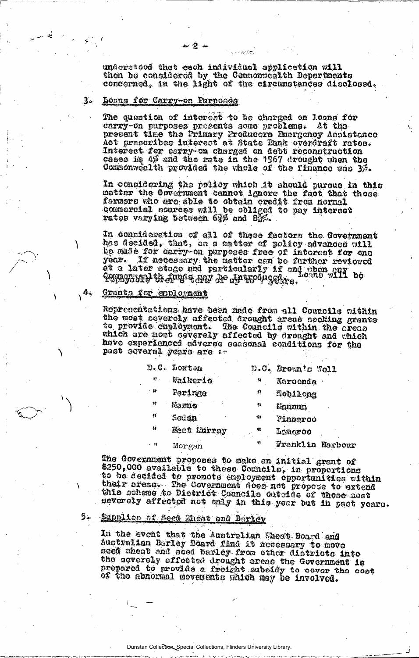undorstood that each individual application will then be considered by the Commonsealth Departments concerned, in the light of the circumstances disclosed.

#### 3. Loons for Carry-on Purposes

The question of interest to be charged on loans for carry-on purposes presents some problems. At the present time the Primary Producers Emergency Assistance Act prescribes interest at State Bank overdraft rates. Interest for carry-on charged on debt reconstruction cases is 4% and the rate in the 1967 drought when the Commonwealth provided the whole of the finance was 3%.

In considering the policy which it should pursue in this matter the Covernment cannot ignore the fact that those<br>farmers who are able to obtain credit from normal<br>commercial sources will be obliged to pay interest<br>rates varying between 62% and 83%.

In consideration of all of these factors the Government has decided, that, as a matter of policy advances will be made for carry-on purposes free of interest for one year. If necessary the matter can be further reviewed year. It necessary and married if and when any be-<br>at a later stage and particularly if and when any be-PETRYNDOL VI Anne I ARY De An Kodugedre.

### Granto for employment

4.

Representations have been made from all Councils within the most severely affected drought areas seeking grants to provide employment. The Councils within the oreas which are most ceverely affected by drought and which have experienced adverse seasonal conditions for the past several years are :-

|      | D.C. Loxton        |     | D.O. Brown's Woll      |
|------|--------------------|-----|------------------------|
| 目.   | Waikerio           | 34  | Karoonda               |
| 一群   | Paringa            | -11 | <b>Nobilong</b>        |
| -13  | Marne              | Ş3  | Mannum                 |
| ij.  | $%$ od on          | -11 | <b><i>Finnaroo</i></b> |
| Ý.   | <b>Mast Murray</b> | ₩   | Lameroo                |
| - 11 | Morgan             | V)  | Franklin Harbour       |

The Government proposes to make an initial grant of 8250,000 available to these Councils, in proportions to be decided to promote employment opportunities within their oreans. The Covernment does not propose to extend this scheme to District Councils outside of those most severely affected not enly in this year but in past years.

# 5. Supplice of Seed Eneat and Barley

In the event that the Australian Wheat Board and<br>Australian Barley Board find it necessary to move seed wheat and seed barley from other districts into the severely affected drought areas the Government is<br>prepared to provide a freight subsidy to cover the cost of the abnormal movements which may be involved.